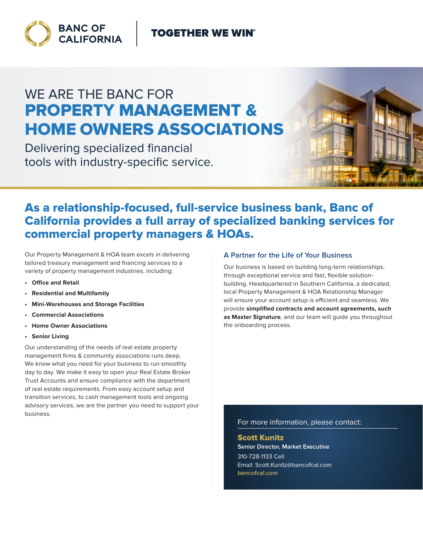### **TOGETHER WE WIN®**



# WE ARE THE BANC FOR PROPERTY MANAGEMENT & HOME OWNERS ASSOCIATIONS

Delivering specialized financial tools with industry-specific service.



### As a relationship-focused, full-service business bank, Banc of California provides a full array of specialized banking services for commercial property managers & HOAs.

Our Property Management & HOA team excels in delivering tailored treasury management and fnancing services to a variety of property management industries, including:

- **• Office and Retail**
- **• Residential and Multifamily**
- **• Mini-Warehouses and Storage Facilities**
- **• Commercial Associations**
- **• Home Owner Associations**
- **• Senior Living**

Our understanding of the needs of real estate property management firms & community associations runs deep. We know what you need for your business to run smoothly day to day. We make it easy to open your Real Estate Broker Trust Accounts and ensure compliance with the department of real estate requirements. From easy account setup and transition services, to cash management tools and ongoing advisory services, we are the partner you need to support your business.

#### **A Partner for the Life of Your Business**

Our business is based on building long-term relationships, through exceptional service and fast, flexible solutionbuilding. Headquartered in Southern California, a dedicated, local Property Management & HOA Relationship Manager will ensure your account setup is efficient and seamless. We provide **simplified contracts and account agreements, such as Master Signature**, and our team will guide you throughout the onboarding process.

For more information, please contact:

Scott Kunitz **Senior Director, Market Executive** 310-728-1133 Cell Email: Scott.Kunitz@bancofcal.com **bancofcal.com**